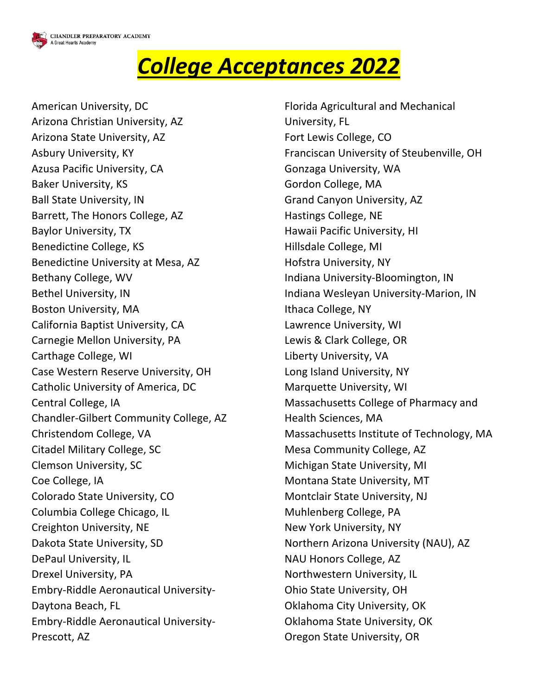

## *College Acceptances 2022*

American University, DC Arizona Christian University, AZ Arizona State University, AZ Asbury University, KY Azusa Pacific University, CA Baker University, KS Ball State University, IN Barrett, The Honors College, AZ Baylor University, TX Benedictine College, KS Benedictine University at Mesa, AZ Bethany College, WV Bethel University, IN Boston University, MA California Baptist University, CA Carnegie Mellon University, PA Carthage College, WI Case Western Reserve University, OH Catholic University of America, DC Central College, IA Chandler-Gilbert Community College, AZ Christendom College, VA Citadel Military College, SC Clemson University, SC Coe College, IA Colorado State University, CO Columbia College Chicago, IL Creighton University, NE Dakota State University, SD DePaul University, IL Drexel University, PA Embry-Riddle Aeronautical University-Daytona Beach, FL Embry-Riddle Aeronautical University-Prescott, AZ

Florida Agricultural and Mechanical University, FL Fort Lewis College, CO Franciscan University of Steubenville, OH Gonzaga University, WA Gordon College, MA Grand Canyon University, AZ Hastings College, NE Hawaii Pacific University, HI Hillsdale College, MI Hofstra University, NY Indiana University-Bloomington, IN Indiana Wesleyan University-Marion, IN Ithaca College, NY Lawrence University, WI Lewis & Clark College, OR Liberty University, VA Long Island University, NY Marquette University, WI Massachusetts College of Pharmacy and Health Sciences, MA Massachusetts Institute of Technology, MA Mesa Community College, AZ Michigan State University, MI Montana State University, MT Montclair State University, NJ Muhlenberg College, PA New York University, NY Northern Arizona University (NAU), AZ NAU Honors College, AZ Northwestern University, IL Ohio State University, OH Oklahoma City University, OK Oklahoma State University, OK Oregon State University, OR